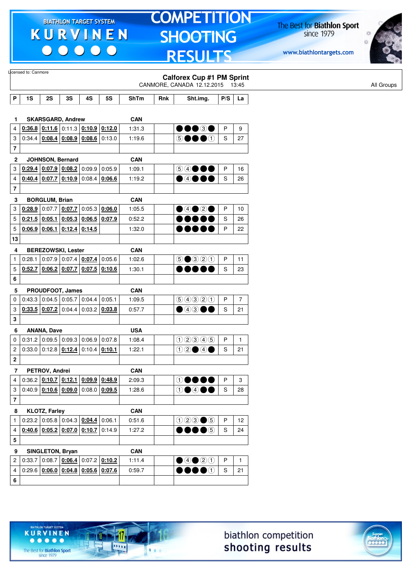$\begin{array}{c|c|c|c|c} \hline \bullet & \bullet & \bullet & \bullet & \bullet \end{array}$ 

# **TOMPETITION SHOOTING RESULTS**

The Best for **Biathlon Sport**<br>since 1979

www.biathlontargets.com



|                         | Licensed to: Canmore |                                              |                 |        |                                                             |             |     | <b>Calforex Cup #1 PM Sprint</b>                                                                                                                                               |     |                |
|-------------------------|----------------------|----------------------------------------------|-----------------|--------|-------------------------------------------------------------|-------------|-----|--------------------------------------------------------------------------------------------------------------------------------------------------------------------------------|-----|----------------|
|                         |                      |                                              |                 |        |                                                             |             |     | CANMORE, CANADA 12.12.2015 13:45                                                                                                                                               |     |                |
| P                       | 1S                   | 2S                                           | 3S              | 4S     | <b>5S</b>                                                   | <b>ShTm</b> | Rnk | Sht.img.                                                                                                                                                                       | P/S | La             |
|                         |                      |                                              |                 |        |                                                             |             |     |                                                                                                                                                                                |     |                |
| 1                       |                      | <b>SKARSGARD, Andrew</b>                     |                 |        |                                                             | <b>CAN</b>  |     |                                                                                                                                                                                |     |                |
| 4                       |                      |                                              |                 |        | $0.36.8$ $0.11.6$ 0.11.3 $0.10.9$ 0.12.0                    | 1:31.3      |     | •••••                                                                                                                                                                          | P   | 9              |
| 3                       | 0:34.4               | $0.08.4$ $0.08.9$ $0.08.6$ 0:13.0            |                 |        |                                                             | 1:19.6      |     | 50000                                                                                                                                                                          | S   | 27             |
| 7                       |                      |                                              |                 |        |                                                             |             |     |                                                                                                                                                                                |     |                |
| 2                       |                      | JOHNSON, Bernard                             |                 |        |                                                             | <b>CAN</b>  |     |                                                                                                                                                                                |     |                |
| 3                       |                      | $0.29.4$ 0.07.9 0.08.2 0.09.9                |                 |        | 0:05.9                                                      | 1:09.1      |     | 54000                                                                                                                                                                          | P   | 16             |
| 4                       |                      | $0.40.4$ 0.07.7 0.10.9 0.08.4                |                 |        | 0:06.6                                                      | 1:19.2      |     | $\bullet$ 4000                                                                                                                                                                 | S   | 26             |
| 7                       |                      |                                              |                 |        |                                                             |             |     |                                                                                                                                                                                |     |                |
| 3                       |                      | <b>BORGLUM, Brian</b>                        |                 |        |                                                             | <b>CAN</b>  |     |                                                                                                                                                                                |     |                |
| 3                       | 0:28.9               |                                              | $0:07.7$ 0:07.7 |        | $0:05.3$ 0:06.0                                             | 1:05.5      |     | $\bullet$ 4020                                                                                                                                                                 | P   | 10             |
| 5                       |                      | $0:21.5$ 0:05.1                              |                 |        | $0.05.3$ 0.06.5 0.07.9                                      | 0:52.2      |     | .                                                                                                                                                                              | S   | 26             |
| $\mathbf 5$             |                      | $0.06.9$ 0.06.1                              | 0:12.4          | 0:14.5 |                                                             | 1:32.0      |     |                                                                                                                                                                                | P   | 22             |
| 13                      |                      |                                              |                 |        |                                                             |             |     |                                                                                                                                                                                |     |                |
| 4                       |                      | <b>BEREZOWSKI, Lester</b>                    |                 |        |                                                             | <b>CAN</b>  |     |                                                                                                                                                                                |     |                |
| $\mathbf{1}$            | 0:28.1               | 0:07.9 0:07.4 0:07.4                         |                 |        | 0:05.6                                                      | 1:02.6      |     | $\bigcirc \bullet \hspace{-1.2pt} \bullet \hspace{-1.2pt} \circ \hspace{-1.2pt} \circ \hspace{-1.2pt} \circ \hspace{-1.2pt} \circ \hspace{-1.2pt} \circ \hspace{-1.2pt} \circ$ | P   | 11             |
| 5                       |                      |                                              |                 |        | $0.52.7$ 0.06.2 0.07.7 0.07.5 0.10.6                        | 1:30.1      |     | D O O C                                                                                                                                                                        | S   | 23             |
| 6                       |                      |                                              |                 |        |                                                             |             |     |                                                                                                                                                                                |     |                |
| 5                       |                      | PROUDFOOT, James                             |                 |        |                                                             | <b>CAN</b>  |     |                                                                                                                                                                                |     |                |
| 0                       |                      | $0.43.3$ 0.04.5 0.05.7 0.04.4                |                 |        | 0:05.1                                                      | 1:09.5      |     | 9990                                                                                                                                                                           | P   | $\overline{7}$ |
| 3                       |                      | $0.33.5$ $0.07.2$ 0:04.4 0:03.2 0:03.8       |                 |        |                                                             | 0:57.7      |     | $\bullet$ 43 $\bullet$ (                                                                                                                                                       | S   | 21             |
| 3                       |                      |                                              |                 |        |                                                             |             |     |                                                                                                                                                                                |     |                |
| 6                       |                      | <b>ANANA, Dave</b>                           |                 |        |                                                             | <b>USA</b>  |     |                                                                                                                                                                                |     |                |
| 0                       |                      | $0.31.2$ 0.09.5 0.09.3 0.06.9                |                 |        | 0.07.8                                                      | 1:08.4      |     | (12345)                                                                                                                                                                        | Ρ   | $\mathbf{1}$   |
| $\overline{c}$          |                      | $0:33.0$ 0:12.8 $0:12.4$ 0:10.4 0:10.1       |                 |        |                                                             | 1:22.1      |     | $02 \bullet 4 \bullet$                                                                                                                                                         | S   | 21             |
| 2                       |                      |                                              |                 |        |                                                             |             |     |                                                                                                                                                                                |     |                |
| 7                       |                      | PETROV, Andrei                               |                 |        |                                                             | <b>CAN</b>  |     |                                                                                                                                                                                |     |                |
| 4                       |                      |                                              |                 |        | $0:36.2$ $0:10.7$ $0:12.1$ $0:09.9$ $0:48.9$                | 2:09.3      |     | $\odot \bullet \bullet \bullet$                                                                                                                                                | P   | 3              |
| 3                       |                      |                                              |                 |        | $0:40.9$ $0:10.6$ $0:09.0$ $0:08.0$ $0:09.5$                | 1:28.6      |     | 00000                                                                                                                                                                          | S   | 28             |
| $\overline{\mathbf{r}}$ |                      |                                              |                 |        |                                                             |             |     |                                                                                                                                                                                |     |                |
|                         |                      |                                              |                 |        |                                                             |             |     |                                                                                                                                                                                |     |                |
| 8                       |                      | <b>KLOTZ, Farley</b>                         |                 |        |                                                             | <b>CAN</b>  |     |                                                                                                                                                                                |     |                |
| 1                       |                      | $0.23.2   0.05.8   0.04.3   0.04.4   0.06.1$ |                 |        |                                                             | 0:51.6      |     | $023 \bullet 5$                                                                                                                                                                | P   | 12             |
| 4                       |                      | $0.40.6$ $0.05.2$ $0.07.0$ $0.10.7$ $0.14.9$ |                 |        |                                                             | 1:27.2      |     | $\bullet\bullet\bullet\circ$                                                                                                                                                   | S   | 24             |
| 5                       |                      |                                              |                 |        |                                                             |             |     |                                                                                                                                                                                |     |                |
| 9                       |                      | SINGLETON, Bryan                             |                 |        |                                                             | <b>CAN</b>  |     |                                                                                                                                                                                |     |                |
| $\overline{\mathbf{c}}$ | 0:33.7               |                                              |                 |        | $\vert$ 0:08.7 $\vert$ 0:06.4 $\vert$ 0:07.2 $\vert$ 0:10.2 | 1:11.4      |     | $\bigcirc$ 4 $\bigcirc$ 20                                                                                                                                                     | P   | $\mathbf{1}$   |
| 4                       |                      |                                              |                 |        | $0:29.6$ $0:06.0$ $0:04.8$ $0:05.6$ $0:07.6$                | 0:59.7      |     | $\bullet\bullet\bullet\circ$                                                                                                                                                   | S   | 21             |
| 6                       |                      |                                              |                 |        |                                                             |             |     |                                                                                                                                                                                |     |                |

17

11111

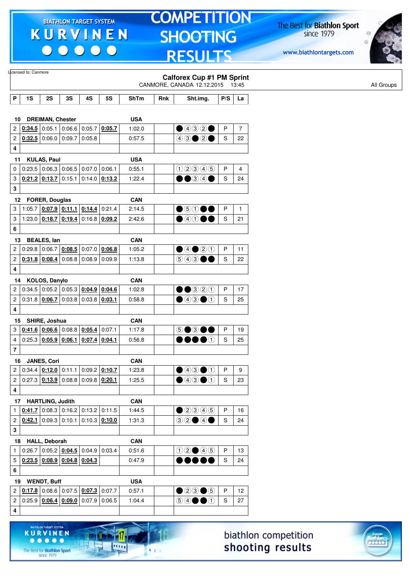$\begin{array}{c|c|c|c|c} \hline \bullet & \bullet & \bullet & \bullet & \bullet \end{array}$ 

# **TOMPETITION SHOOTING RESULTS**

The Best for **Biathlon Sport**<br>since 1979

www.biathlontargets.com



|                         | Licensed to: Canmore |                         |                                                                    |                        |                 |             |     | <b>Calforex Cup #1 PM Sprint</b><br>CANMORE, CANADA 12.12.2015 13:45                     |              |                |
|-------------------------|----------------------|-------------------------|--------------------------------------------------------------------|------------------------|-----------------|-------------|-----|------------------------------------------------------------------------------------------|--------------|----------------|
| P                       | 1S                   | 2S                      | 3S                                                                 | 4S                     | 5S              | <b>ShTm</b> | Rnk | Sht.img.                                                                                 | P/S          | La             |
|                         |                      |                         |                                                                    |                        |                 |             |     |                                                                                          |              |                |
| 10                      |                      | <b>DREIMAN, Chester</b> |                                                                    |                        |                 | <b>USA</b>  |     |                                                                                          |              |                |
| $\overline{c}$          | 0:34.5               | 0:05.1                  |                                                                    | $0:06.6$ 0:05.7        | 0:05.7          | 1:02.0      |     | $\bigcirc$ 432 $\bigcirc$                                                                | P            | $\overline{7}$ |
| $\overline{\mathbf{c}}$ |                      | $0.32.5$ 0:06.0 0:09.7  |                                                                    | 0:05.8                 |                 | 0:57.5      |     | $43 \bullet 2 \bullet$                                                                   | S            | 22             |
| 4                       |                      |                         |                                                                    |                        |                 |             |     |                                                                                          |              |                |
| 11                      |                      | <b>KULAS, Paul</b>      |                                                                    |                        |                 | <b>USA</b>  |     |                                                                                          |              |                |
| 0                       |                      |                         | $0.23.5$ 0.06.3 0.06.5 0.07.0                                      |                        | 0:06.1          | 0:55.1      |     | 02345                                                                                    | P            | 4              |
| 3                       |                      | $0:21.2$ 0:13.7 0:15.1  |                                                                    |                        | $0:14.0$ 0:13.2 | 1:22.4      |     | $\bullet\textcolor{red}{\bullet\circledcirc\circ\bullet}$                                | S            | 24             |
| 3                       |                      |                         |                                                                    |                        |                 |             |     |                                                                                          |              |                |
| 12                      |                      | <b>FORER, Douglas</b>   |                                                                    |                        |                 | <b>CAN</b>  |     |                                                                                          |              |                |
| 3                       |                      |                         | 1:05.7 $\vert$ 0:07.9 0:11.1                                       |                        | $0:14.4$ 0:21.4 | 2:14.5      |     | $\bullet$ 6000                                                                           | P            | $\mathbf{1}$   |
| 3                       |                      |                         | 1:23.0 $\vert$ 0:18.7 $\vert$ 0:19.4 $\vert$ 0:16.8 $\vert$ 0:09.2 |                        |                 | 2:42.6      |     | $\bullet$ 4000                                                                           | S            | 21             |
| 6                       |                      |                         |                                                                    |                        |                 |             |     |                                                                                          |              |                |
| 13                      |                      | <b>BEALES, lan</b>      |                                                                    |                        |                 | <b>CAN</b>  |     |                                                                                          |              |                |
| $\overline{c}$          |                      |                         | $0:29.8$ 0:06.7 0:08.5                                             | 0:07.0                 | 0:06.8          | 1:05.2      |     | ④④③③                                                                                     | $\mathsf{P}$ | 11             |
| 2                       |                      | $0.31.8$ 0.08.4         |                                                                    | $0.08.8$ 0.08.9 0.09.9 |                 | 1:13.8      |     | $\circledcirc$ 4300                                                                      | S            | 22             |
| 4                       |                      |                         |                                                                    |                        |                 |             |     |                                                                                          |              |                |
| 14                      |                      | KOLOS, Danylo           |                                                                    |                        |                 | <b>CAN</b>  |     |                                                                                          |              |                |
| $\overline{c}$          |                      |                         | $0:34.5$ 0:05.2 0:05.3 0:04.9 0:04.6                               |                        |                 | 1:02.8      |     | $\bullet\bullet$ 320                                                                     | P            | 17             |
| $\overline{\mathbf{c}}$ |                      |                         | $0.31.8$ $0.06.7$ 0.03.8 0.03.8 0.03.1                             |                        |                 | 0:58.8      |     | $\bigcirc$ 4300                                                                          | S            | 25             |
| 4                       |                      |                         |                                                                    |                        |                 |             |     |                                                                                          |              |                |
| 15                      |                      | SHIRE, Joshua           |                                                                    |                        |                 | <b>CAN</b>  |     |                                                                                          |              |                |
| 3                       |                      |                         | $0.41.6$ $0.06.6$ 0:08.8 0:05.4                                    |                        | 0:07.1          | 1:17.8      |     | 5●3●●                                                                                    | P            | 19             |
| $\overline{\mathbf{4}}$ |                      | 0:25.3   0:05.9         | 0:06.1                                                             | 0:07.4                 | 0:04.1          | 0:56.8      |     | $\bullet\bullet\bullet\circ$                                                             | S            | 25             |
| $\overline{7}$          |                      |                         |                                                                    |                        |                 |             |     |                                                                                          |              |                |
| 16                      |                      | JANES, Cori             |                                                                    |                        |                 | <b>CAN</b>  |     |                                                                                          |              |                |
| 2                       |                      |                         | $0.34.4$ $0.12.0$ 0.11.1 0.09.2 0.10.7                             |                        |                 | 1:23.8      |     | $\bigcirc$ 43 $\bigcirc$ 0                                                               | P            | 9              |
| $\overline{c}$          |                      |                         | $0:27.3$ $0.13.9$ $0:08.8$ $0.09.8$ $0.20.1$                       |                        |                 | 1:25.5      |     | $\bigcirc$ 43 $\bigcirc$ 1                                                               | S            | 23             |
| 4                       |                      |                         |                                                                    |                        |                 |             |     |                                                                                          |              |                |
|                         | 17 HARTLING, Judith  |                         |                                                                    |                        |                 | <b>CAN</b>  |     |                                                                                          |              |                |
| $\mathbf{1}$            |                      |                         | $0.41.7$ 0.08.3 0.16.2 0.13.2 0.11.5                               |                        |                 | 1:44.5      |     | $\bigcirc$ 2345                                                                          | $\mathsf{P}$ | 16             |
| $\overline{c}$          |                      |                         | $\vert$ 0:42.1 $\vert$ 0:09.3 $\vert$ 0:10.1                       |                        | $0:10.3$ 0:10.0 | 1:31.3      |     | $\textcircled{\scriptsize{3}} \textcircled{\scriptsize{4}} \textcircled{\scriptsize{4}}$ | S            | 24             |
| 3                       |                      |                         |                                                                    |                        |                 |             |     |                                                                                          |              |                |
|                         | 18 HALL, Deborah     |                         |                                                                    |                        |                 | <b>CAN</b>  |     |                                                                                          |              |                |
| $\mathbf{1}$            |                      |                         | $0:26.7$ 0:05.2 $0:04.5$ 0:04.9 0:03.4                             |                        |                 | 0:51.6      |     | $02 \bullet 45$                                                                          | P            | 13             |
| 5                       |                      |                         | $0.23.5$ $0.08.9$ $0.04.8$ $0.04.3$                                |                        |                 | 0:47.9      |     | $\bullet\bullet\bullet\bullet\bullet$                                                    | S            | 24             |
| 6                       |                      |                         |                                                                    |                        |                 |             |     |                                                                                          |              |                |
| 19                      |                      | <b>WENDT, Buff</b>      |                                                                    |                        |                 | <b>USA</b>  |     |                                                                                          |              |                |
| $\overline{c}$          |                      |                         | $0.17.8$ 0:08.6 0:07.5 0:07.3 0:07.7                               |                        |                 | 0:57.1      |     | $\bullet$ 20 $\bullet$ 5                                                                 | P            | 12             |
| $\overline{c}$          |                      |                         | $0:25.9$ 0:06.4 0:09.0 0:07.9 0:06.5                               |                        |                 | 1:04.4      |     | $\circledcircled{\bullet}\bullet\bullet\circledcirc$                                     | S            | 27             |
| $\overline{\mathbf{4}}$ |                      |                         |                                                                    |                        |                 |             |     |                                                                                          |              |                |
|                         |                      |                         |                                                                    |                        |                 |             |     |                                                                                          |              |                |



The Best for **Biathlon Sport**<br>since 1979

**KURVINEN** 

-17

.....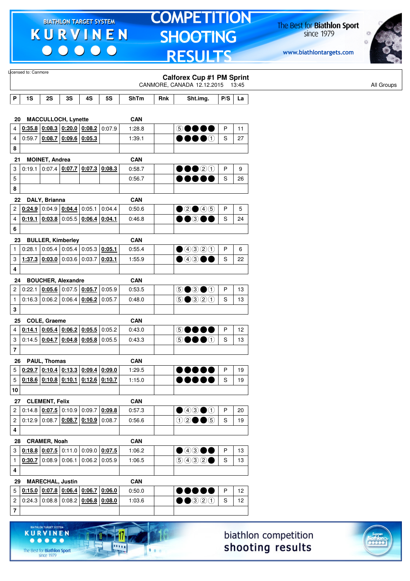$\begin{array}{c|c|c|c|c} \hline \bullet & \bullet & \bullet & \bullet & \bullet \end{array}$ 

ARGET SYSTE

17

**DOM:** 

 $1.1.1$ 

**KURVINEN** 

 $. . . . .$ 

The Best for **Biathlon Sport**<br>since 1979

# **TOMPETITION SHOOTING RESULTS**

The Best for **Biathlon Sport**<br>since 1979



|                         | Licensed to: Canmore |                        |                                              |                 |           |             |     | <b>Calforex Cup #1 PM Sprint</b><br>CANMORE, CANADA 12.12.2015 13:45 |     |    |
|-------------------------|----------------------|------------------------|----------------------------------------------|-----------------|-----------|-------------|-----|----------------------------------------------------------------------|-----|----|
| P                       | 1S                   | 2S                     | 3S                                           | 4S              | <b>5S</b> | <b>ShTm</b> | Rnk | Sht.img.                                                             | P/S | La |
|                         |                      |                        |                                              |                 |           |             |     |                                                                      |     |    |
| 20                      |                      |                        | MACCULLOCH, Lynette                          |                 |           | <b>CAN</b>  |     |                                                                      |     |    |
| 4                       | 0:35.8               |                        | $0.08.3$ 0.20.0 0.08.2                       |                 | 0:07.9    | 1:28.8      |     | 5●●●●                                                                | P   | 11 |
| 4                       |                      | 0.59.7   0.08.7        | 0.09.6 0.05.3                                |                 |           | 1:39.1      |     | $\bullet\bullet\bullet\circ$                                         | S   | 27 |
| 8                       |                      |                        |                                              |                 |           |             |     |                                                                      |     |    |
| 21                      |                      | <b>MOINET, Andrea</b>  |                                              |                 |           | <b>CAN</b>  |     |                                                                      |     |    |
| 3                       |                      |                        | $0:19.1$ 0:07.4 0:07.7 0:07.3 0:08.3         |                 |           | 0:58.7      |     | $\bullet\bullet$ 20                                                  | P   | 9  |
| 5                       |                      |                        |                                              |                 |           | 0:56.7      |     | 0 O O O (                                                            | S   | 26 |
| 8                       |                      |                        |                                              |                 |           |             |     |                                                                      |     |    |
| 22                      |                      | DALY, Brianna          |                                              |                 |           | <b>CAN</b>  |     |                                                                      |     |    |
| 2                       |                      |                        | $0.24.9$ 0:04.9 0:04.4                       | 0:05.1          | 0:04.4    | 0:50.6      |     | $\bullet$ 2 $\bullet$ 4 5                                            | P   | 5  |
| 4                       | 0:19.1               |                        | $0.03.8$ 0.05.5 0.06.4                       |                 | 0:04.1    | 0:46.8      |     | 00000                                                                | S   | 24 |
| 6                       |                      |                        |                                              |                 |           |             |     |                                                                      |     |    |
| 23                      |                      |                        | <b>BULLER, Kimberley</b>                     |                 |           | <b>CAN</b>  |     |                                                                      |     |    |
| 1                       | 0:28.1               |                        | $0.05.4$ 0.05.4 0.05.3 0.05.1                |                 |           | 0:55.4      |     | ④④②①                                                                 | P   | 6  |
| 3                       |                      |                        | 1:37.3 $0.03.0$ 0:03.6 0:03.7                |                 | 0:03.1    | 1:55.9      |     | $\bullet$ 4300                                                       | S   | 22 |
| 4                       |                      |                        |                                              |                 |           |             |     |                                                                      |     |    |
| 24                      |                      |                        | <b>BOUCHER, Alexandre</b>                    |                 |           | <b>CAN</b>  |     |                                                                      |     |    |
| 2                       | 0:22.1               |                        | $0.05.6$ 0.07.5 0.05.7                       |                 | 0:05.9    | 0:53.5      |     | $\circledcirc$ $\bullet$ $\circledcirc$                              | P   | 13 |
| $\mathbf{1}$            |                      |                        | $0:16.3$ 0:06.2 0:06.4                       | 0:06.2          | 0:05.7    | 0:48.0      |     | $\odot$ $\odot$ $\odot$ $\odot$ $\odot$                              | S   | 13 |
| 3                       |                      |                        |                                              |                 |           |             |     |                                                                      |     |    |
| 25                      |                      | COLE, Graeme           |                                              |                 |           | <b>CAN</b>  |     |                                                                      |     |    |
| 4                       | 0:14.1               |                        | $\vert$ 0:05.4 $\vert$ 0:06.2 $\vert$ 0:05.5 |                 | 0:05.2    | 0:43.0      |     | 5●●●●                                                                | P   | 12 |
| 3                       |                      | $0:14.5$ 0:04.7        |                                              | $0.04.8$ 0.05.8 | 0:05.5    | 0:43.3      |     | 50000                                                                | S   | 13 |
| $\overline{\mathbf{r}}$ |                      |                        |                                              |                 |           |             |     |                                                                      |     |    |
| 26                      |                      | PAUL, Thomas           |                                              |                 |           | <b>CAN</b>  |     |                                                                      |     |    |
| 5                       |                      |                        | $0.29.7$ $0.10.4$ $0.13.3$ $0.09.4$ $0.09.0$ |                 |           | 1:29.5      |     |                                                                      | P   | 19 |
| 5                       |                      |                        | $0.18.6$ $0.10.8$ $0.10.1$ $0.12.6$ $0.10.7$ |                 |           | 1:15.0      |     |                                                                      | S   | 19 |
| 10                      |                      |                        |                                              |                 |           |             |     |                                                                      |     |    |
| 27                      |                      | <b>CLEMENT, Felix</b>  |                                              |                 |           | <b>CAN</b>  |     |                                                                      |     |    |
| 2                       |                      |                        | $0.14.8$ $0.07.5$ 0.10.9 0.09.7              |                 | 0:09.8    | 0:57.3      |     | $\bigcirc$ 4300                                                      | P   | 20 |
| $\overline{\mathbf{c}}$ |                      |                        | $0:12.9$ 0:08.7 0:08.7                       | $0.10.9$ 0:08.7 |           | 0:56.6      |     | $0$ 2005                                                             | S   | 19 |
| 4                       |                      |                        |                                              |                 |           |             |     |                                                                      |     |    |
| 28                      |                      | <b>CRAMER, Noah</b>    |                                              |                 |           | CAN         |     |                                                                      |     |    |
| 3                       |                      |                        | $0.18.8$ $0.07.5$ 0.11.0 0.09.0 0.07.5       |                 |           | 1:06.2      |     | $\bullet$ 4300                                                       | P   | 13 |
| $\mathbf{1}$            |                      | $0.30.7$ 0:08.9 0:06.1 |                                              | $0:06.2$ 0:05.9 |           | 1:06.5      |     | 9932                                                                 | S   | 13 |
| 4                       |                      |                        |                                              |                 |           |             |     |                                                                      |     |    |
| 29                      |                      |                        | <b>MARECHAL, Justin</b>                      |                 |           | CAN         |     |                                                                      |     |    |
| 5                       |                      |                        | $0.15.0$ $0.07.8$ $0.06.4$ $0.06.7$          |                 | 0:06.0    | 0:50.0      |     | $\bullet\bullet\bullet\bullet$                                       | P   | 12 |
| 2                       |                      |                        | $0.24.3$ 0.08.8 0.08.2 0.06.8 0.08.0         |                 |           | 1:03.6      |     | $\bullet\bullet$ 320                                                 | S   | 12 |
| $\overline{\mathbf{7}}$ |                      |                        |                                              |                 |           |             |     |                                                                      |     |    |
|                         |                      |                        |                                              |                 |           |             |     |                                                                      |     |    |

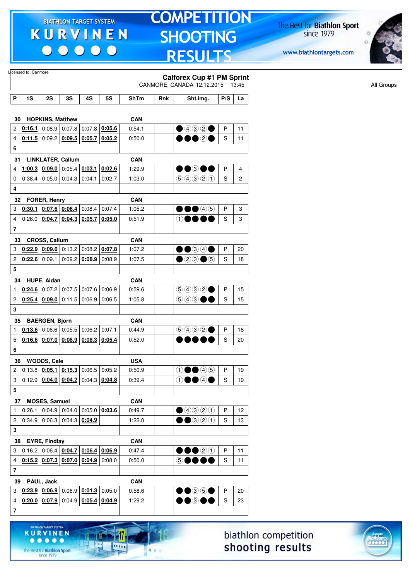$\begin{array}{c|c|c|c|c} \hline \bullet & \bullet & \bullet & \bullet & \bullet \end{array}$ 

# **TOMPETITION SHOOTING RESULTS**

The Best for **Biathlon Sport**<br>since 1979

www.biathlontargets.com



|                         | Licensed to: Canmore |                         |                                              |                 |           |                      |     | <b>Calforex Cup #1 PM Sprint</b>            |               |    |
|-------------------------|----------------------|-------------------------|----------------------------------------------|-----------------|-----------|----------------------|-----|---------------------------------------------|---------------|----|
|                         |                      |                         |                                              |                 |           |                      |     | CANMORE, CANADA 12.12.2015 13:45            |               |    |
| P                       | 1S                   | 2S                      | 3S                                           | 4S              | <b>5S</b> | <b>ShTm</b>          | Rnk | Sht.img.                                    | P/S           | La |
|                         |                      |                         |                                              |                 |           |                      |     |                                             |               |    |
| 30                      |                      | <b>HOPKINS, Matthew</b> |                                              |                 |           | <b>CAN</b>           |     |                                             |               |    |
| $\overline{c}$          |                      |                         | $0.16.1$ 0.08.9 0.07.8                       | $0.07.8$ 0:05.6 |           | 0:54.1               |     | $\bigcirc$ 4320                             | P             | 11 |
| 4                       |                      |                         | $0.11.5$ 0:09.2 0:09.5 0:05.7 0:05.2         |                 |           | 0:50.0               |     | 00020                                       | S             | 11 |
| 6                       |                      |                         |                                              |                 |           |                      |     |                                             |               |    |
| 31                      |                      |                         | <b>LINKLATER, Callum</b>                     |                 |           | <b>CAN</b>           |     |                                             |               |    |
| 4                       | 1:00.3               | 0:09.0                  | 0:05.4                                       | 0:03.1          | 0:02.6    | 1:29.9               |     | $\bullet\bullet$ 300                        | P             | 4  |
| 0                       |                      |                         | $0.38.4$ 0.05.0 0.04.3                       | 0:04.1          | 0.02.7    | 1:03.0               |     | 99900                                       | S             | 2  |
| 4                       |                      |                         |                                              |                 |           |                      |     |                                             |               |    |
| 32                      |                      | FORER, Henry            |                                              |                 |           | <b>CAN</b>           |     |                                             |               |    |
| 3                       |                      |                         | $0.30.1$ 0.07.6 0.06.4                       | $0:08.4$ 0:07.4 |           | 1:05.2               |     | $\bullet\bullet\textcircled{\scriptsize 4}$ | P             | 3  |
| 4                       |                      |                         | $0:26.0$ $0:04.7$ $0:04.3$ $0:05.7$ $0:05.0$ |                 |           | 0:51.9               |     | $\oplus \bullet \bullet$                    | S             | 3  |
| $\overline{7}$          |                      |                         |                                              |                 |           |                      |     |                                             |               |    |
| 33                      |                      | <b>CROSS, Callum</b>    |                                              |                 |           | CAN                  |     |                                             |               |    |
| 3                       |                      |                         | $0:22.9$ 0:09.6 0:13.2 0:08.2 0:07.8         |                 |           | 1:07.2               |     | $\bullet$ $\bullet$ 3 4 $\bullet$           | P             | 20 |
| $\overline{\mathbf{c}}$ | $0:22.6$ 0:09.1      |                         | 0:09.2                                       | $0:08.9$ 0:08.9 |           | 1:07.5               |     | $\bullet$ 20 $\bullet$ 5                    | S             | 18 |
| 5                       |                      |                         |                                              |                 |           |                      |     |                                             |               |    |
| 34                      |                      | HUPE, Aidan             |                                              |                 |           | <b>CAN</b>           |     |                                             |               |    |
| $\mathbf{1}$            |                      |                         | $0.24.6$ 0.07.2 0.07.5                       | 0:07.6          | 0:06.9    | 0:59.6               |     | 9932                                        | P             | 15 |
| 2                       |                      | 0.25.4   0.09.0         | 0:11.5                                       | $0:06.9$ 0:06.5 |           | 1:05.8               |     | 6000                                        | S             | 15 |
| 3                       |                      |                         |                                              |                 |           |                      |     |                                             |               |    |
| 35                      |                      | <b>BAERGEN, Bjorn</b>   |                                              |                 |           | <b>CAN</b>           |     |                                             |               |    |
| $\mathbf{1}$            |                      |                         | $0:13.6$ 0:06.6 0:05.5                       | $0:06.2$ 0:07.1 |           | 0:44.9               |     | 9932                                        | P             | 18 |
| 5                       |                      |                         | 0.16.6   0.07.0   0.08.9                     | $0:08.3$ 0:05.4 |           | 0:52.0               |     |                                             | S             | 20 |
| 6                       |                      |                         |                                              |                 |           |                      |     |                                             |               |    |
| 36                      |                      | WOODS, Cale             |                                              |                 |           | <b>USA</b>           |     |                                             |               |    |
| $\mathbf{2}$            |                      |                         | $0:13.8$ $0:05.1$ $0:15.3$ 0:06.5 0:05.2     |                 |           | 0:50.9               |     | $0 \bullet 40$                              | P             | 19 |
| 3                       |                      |                         | $0:12.9$ $0:04.0$ $0:04.2$ 0:04.3 0:04.8     |                 |           | 0:39.4               |     | $\theta \bullet \Theta$                     | ${\mathbb S}$ | 19 |
| ${\bf 5}$               |                      |                         |                                              |                 |           |                      |     |                                             |               |    |
| 37                      |                      | <b>MOSES, Samuel</b>    |                                              |                 |           | <b>CAN</b>           |     |                                             |               |    |
| $\mathbf{1}$            |                      |                         | $0.26.1$ 0.04.9 0.04.0 0.05.0 0.03.6         |                 |           | 0:49.7               |     | ④④③①                                        | P             | 12 |
| $\overline{c}$          |                      |                         | $0.34.9$ 0.06.3 0.04.3 0.04.9                |                 |           | 1:22.0               |     | $\bullet\bullet$ 320                        | S             | 13 |
| 3                       |                      |                         |                                              |                 |           |                      |     |                                             |               |    |
|                         |                      |                         |                                              |                 |           |                      |     |                                             |               |    |
| 3                       |                      | 38 EYRE, Findlay        | $0:16.2$ 0:06.4 $0:04.7$ 0:06.4 0:06.9       |                 |           | <b>CAN</b><br>0:47.4 |     | $\bullet\bullet\textcircled{20}$            | P             | 11 |
|                         |                      |                         | $0.15.2$ $0.07.3$ $0.07.0$ $0.04.9$ $0.08.0$ |                 |           |                      |     | 5●●●●                                       |               |    |
| 4                       |                      |                         |                                              |                 |           | 0:50.0               |     |                                             | S             | 11 |
| $\overline{\mathbf{7}}$ |                      |                         |                                              |                 |           |                      |     |                                             |               |    |
| 39                      |                      | PAUL, Jack              |                                              |                 |           | <b>CAN</b>           |     |                                             |               |    |
| $\mathbf{3}$            |                      |                         | $0.23.9$ $0.06.9$ $0.06.9$ $0.01.3$ 0.05.0   |                 |           | 0:58.6               |     | $\bullet\bullet$ 35 $\bullet$               | $\mathsf{P}$  | 20 |
| $\overline{\mathbf{4}}$ |                      |                         | $0.20.0$ $0.07.9$ $0.04.9$ $0.05.4$ $0.04.9$ |                 |           | 1:29.2               |     | $\bullet\bullet$ 300                        | S             | 23 |
| $\overline{\mathbf{7}}$ |                      |                         |                                              |                 |           |                      |     |                                             |               |    |
|                         |                      |                         |                                              |                 |           |                      |     |                                             |               |    |

biathlon competition shooting results



KURVINEN

17.

 $\frac{1}{2}$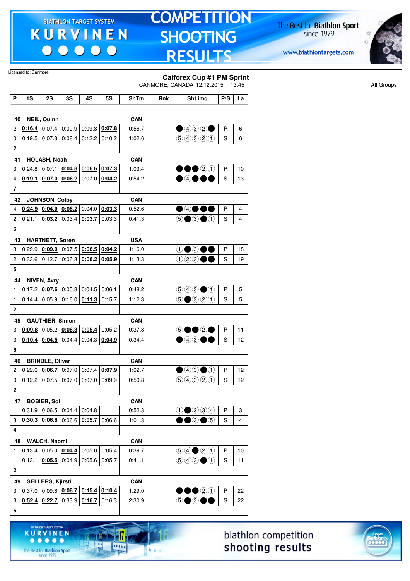$\begin{array}{c|c|c|c|c} \hline \bullet & \bullet & \bullet & \bullet & \bullet \end{array}$ 

ARGET SYSTE

17

**DOM:** 

 $1.1.1$ 

**KURVINEN** 

 $. . . . .$ 

The Best for **Biathlon Sport**<br>since 1979

# **TOMPETITION SHOOTING RESULTS**

The Best for **Biathlon Sport**<br>since 1979



|                         | Licensed to: Canmore |                         |                                                                            |                 |                 |             |     | <b>Calforex Cup #1 PM Sprint</b><br>CANMORE, CANADA 12.12.2015   |     | 13:45          |
|-------------------------|----------------------|-------------------------|----------------------------------------------------------------------------|-----------------|-----------------|-------------|-----|------------------------------------------------------------------|-----|----------------|
| P                       | 1S                   | 2S                      | 3S                                                                         | 4S              | <b>5S</b>       | <b>ShTm</b> | Rnk | Sht.img.                                                         | P/S | La             |
|                         |                      |                         |                                                                            |                 |                 |             |     |                                                                  |     |                |
| 40                      |                      | <b>NEIL, Quinn</b>      |                                                                            |                 |                 | <b>CAN</b>  |     |                                                                  |     |                |
| 2                       |                      |                         | $0.16.4$ 0.07.4 0.09.9                                                     | $0:09.8$ 0:07.8 |                 | 0:56.7      |     | $\bigcirc$ 4320                                                  | P   | 6              |
| 0                       |                      |                         | $0:19.5$ 0:07.8 0:08.4                                                     |                 | $0:12.2$ 0:10.2 | 1:02.6      |     | 9990                                                             | S   | 6              |
| 2                       |                      |                         |                                                                            |                 |                 |             |     |                                                                  |     |                |
| 41                      |                      | HOLASH, Noah            |                                                                            |                 |                 | <b>CAN</b>  |     |                                                                  |     |                |
| 3                       |                      |                         | $0:24.8$ 0:07.1 0:04.8 0:06.6 0:07.3                                       |                 |                 | 1:03.4      |     | 00020                                                            | P   | 10             |
| 4                       | 0:19.1               |                         | $\vert$ 0:07.0 $\vert$ 0:06.2 $\vert$ 0:07.0 $\vert$ 0:04.2                |                 |                 | 0:54.2      |     | $\bullet$ 4000                                                   | S   | 13             |
| $\overline{\mathbf{7}}$ |                      |                         |                                                                            |                 |                 |             |     |                                                                  |     |                |
| 42                      |                      | JOHNSON, Colby          |                                                                            |                 |                 | <b>CAN</b>  |     |                                                                  |     |                |
| 4                       |                      |                         | $0.24.9$ $0.04.9$ $0.06.2$ 0:04.0 $0.03.3$                                 |                 |                 | 0:52.6      |     | $\bullet$ 4000                                                   | P   | $\overline{4}$ |
| 2                       | 0:21.1               |                         | $0.03.2$ 0:03.4                                                            | 0:03.7          | 0:03.3          | 0:41.3      |     | $\circledcirc$ $\bullet$ $\circledcirc$                          | S   | $\overline{4}$ |
| 6                       |                      |                         |                                                                            |                 |                 |             |     |                                                                  |     |                |
| 43                      |                      | <b>HARTNETT, Soren</b>  |                                                                            |                 |                 | <b>USA</b>  |     |                                                                  |     |                |
| 3                       | 0:29.9               |                         | $0.09.0$ 0:07.5 $0.06.5$ 0:04.2                                            |                 |                 | 1:16.0      |     | 1●3●●                                                            | P   | 18             |
| 2                       |                      |                         | $0:33.6$ 0:12.7 0:06.8 0:06.2 0:05.9                                       |                 |                 | 1:13.3      |     | 123●●                                                            | S   | 19             |
| 5                       |                      |                         |                                                                            |                 |                 |             |     |                                                                  |     |                |
| 44                      |                      | <b>NIVEN, Avry</b>      |                                                                            |                 |                 | <b>CAN</b>  |     |                                                                  |     |                |
| $\mathbf{1}$            |                      |                         | $0.17.2$   0.07.6   0.05.8   0.04.5                                        |                 | 0:06.1          | 0:48.2      |     | $\bigcirc$ 4300                                                  | P   | 5              |
| $\mathbf{1}$            |                      |                         | $0.14.4   0.05.9   0.16.0   0.11.3   0.15.7$                               |                 |                 | 1:12.3      |     | $\odot$ $\odot$ $\odot$ $\odot$ $\odot$                          | S   | 5              |
| $\mathbf 2$             |                      |                         |                                                                            |                 |                 |             |     |                                                                  |     |                |
| 45                      |                      | <b>GAUTHIER, Simon</b>  |                                                                            |                 |                 | <b>CAN</b>  |     |                                                                  |     |                |
| 3                       | 0:09.8               |                         | $0.05.2$ 0.06.3 0.05.4                                                     |                 | 0:05.2          | 0:37.8      |     | 5●●2●                                                            | P   | 11             |
| 3                       |                      |                         | $0:10.4$ 0:04.5 0:04.4                                                     | $0:04.3$ 0:04.9 |                 | 0:34.4      |     | $\bullet$ 43 $\bullet\bullet$                                    | S   | 12             |
| 6                       |                      |                         |                                                                            |                 |                 |             |     |                                                                  |     |                |
| 46                      |                      | <b>BRINDLE, Oliver</b>  |                                                                            |                 |                 | <b>CAN</b>  |     |                                                                  |     |                |
| 2                       |                      |                         | $0.22.6$   0.06.7   0.07.0   0.07.4   0.07.9                               |                 |                 | 1:02.7      |     | $\bigcirc$ 43 $\bigcirc$ 1                                       | P   | 12             |
| 0                       |                      |                         | $0.12.2   0.07.5   0.07.0   0.07.0   0.09.9$                               |                 |                 | 0:50.8      |     | 99900                                                            | S   | 12             |
| $\mathbf 2$             |                      |                         |                                                                            |                 |                 |             |     |                                                                  |     |                |
|                         | 47 BOBIER, Sol       |                         |                                                                            |                 |                 | <b>CAN</b>  |     |                                                                  |     |                |
| 1                       |                      |                         | $0.31.9$ 0.06.5 0.04.4 0.04.8                                              |                 |                 | 0:52.3      |     | $0$ $0$ $0$ $3$ $4$                                              | P   | 3              |
| 3                       |                      |                         | $0.30.3$ $0.06.8$ 0.06.6 $0.05.7$ 0.06.6                                   |                 |                 | 1:01.3      |     | $\bullet\bullet$ 3 $\bullet$ 5                                   | S   | 4              |
| 4                       |                      |                         |                                                                            |                 |                 |             |     |                                                                  |     |                |
| 48                      |                      | <b>WALCH, Naomi</b>     |                                                                            |                 |                 | CAN         |     |                                                                  |     |                |
| $\mathbf{1}$            |                      |                         | $0:13.4   0:05.0   0:04.4   0:05.0   0:05.4$                               |                 |                 | 0:39.7      |     | $\bigcirc \bigcirc \bigcirc \bigcirc \bigcirc \bigcirc \bigcirc$ | P   | 10             |
| $\mathbf{1}$            |                      |                         | $0:13.1$ $0:05.5$ $0:04.9$ $0:05.6$ $0:05.7$                               |                 |                 | 0:41.1      |     | $\bigcirc \bigcirc \bigcirc \bigcirc \bigcirc$                   | S   | 11             |
| 2                       |                      |                         |                                                                            |                 |                 |             |     |                                                                  |     |                |
| 49                      |                      | <b>SELLERS, Kjirsti</b> |                                                                            |                 |                 | CAN         |     |                                                                  |     |                |
| 3                       |                      |                         | $0.37.0   0.09.6   0.08.7   0.15.4   0.10.4$                               |                 |                 | 1:29.0      |     | $\bullet\bullet\textcircled{2}\textcircled{1}$                   | P   | 22             |
| 3                       |                      |                         | $\vert$ 0:52.4 $\vert$ 0:22.7 $\vert$ 0:33.9 $\vert$ 0:16.7 $\vert$ 0:16.3 |                 |                 | 2:30.9      |     | 5●3●●                                                            | S   | 22             |
| 6                       |                      |                         |                                                                            |                 |                 |             |     |                                                                  |     |                |
|                         |                      |                         |                                                                            |                 |                 |             |     |                                                                  |     |                |



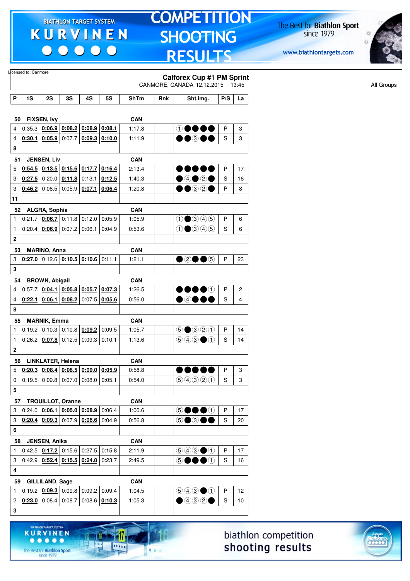$\begin{array}{c|c|c|c|c} \hline \bullet & \bullet & \bullet & \bullet & \bullet \end{array}$ 

HLON TARGET SYSTEM

17

11111

 $1.1.1$ 

**KURVINEN** 

 $\begin{array}{ccccccccccccccccc} \bullet & \bullet & \bullet & \bullet & \bullet & \bullet & \bullet \end{array}$ 

The Best for **Biathlon Sport**<br>since 1979

# **TOMPETITION SHOOTING RESULTS**

The Best for **Biathlon Sport**<br>since 1979



|                           | Licensed to: Canmore |                        |                                                                                                                      |                        |                 |            |     |                                                                                        |     |    |
|---------------------------|----------------------|------------------------|----------------------------------------------------------------------------------------------------------------------|------------------------|-----------------|------------|-----|----------------------------------------------------------------------------------------|-----|----|
|                           |                      |                        |                                                                                                                      |                        |                 |            |     | <b>Calforex Cup #1 PM Sprint</b><br>CANMORE, CANADA 12.12.2015 13:45                   |     |    |
|                           |                      |                        |                                                                                                                      |                        |                 |            |     |                                                                                        |     |    |
| P                         | 1S                   | 2S                     | 3S                                                                                                                   | 4S                     | <b>5S</b>       | ShTm       | Rnk | Sht.img.                                                                               | P/S | La |
|                           |                      |                        |                                                                                                                      |                        |                 |            |     |                                                                                        |     |    |
| 50                        |                      | FIXSEN, Ivy            |                                                                                                                      |                        |                 | <b>CAN</b> |     |                                                                                        |     |    |
| 4                         |                      |                        | $0:35.3$ $0:06.9$ $0:08.2$ $0:08.9$ $0:08.1$                                                                         |                        |                 | 1:17.8     |     | $\circ\bullet\bullet\bullet$                                                           | P   | 3  |
| 4                         |                      | 0.30.1   0.05.9        |                                                                                                                      | $0.07.7$ 0.09.3 0.10.0 |                 | 1:11.9     |     | $\bullet\bullet$ 300                                                                   | S   | 3  |
| 8                         |                      |                        |                                                                                                                      |                        |                 |            |     |                                                                                        |     |    |
| 51                        |                      | <b>JENSEN, Liv</b>     |                                                                                                                      |                        |                 | <b>CAN</b> |     |                                                                                        |     |    |
| 5                         |                      |                        | $0.54.5$ $0.13.5$ $0.15.6$ $0.17.7$                                                                                  |                        | 0:16.4          | 2:13.4     |     | D 8 8 1<br>J۸                                                                          | P   | 17 |
| 3                         |                      |                        | $0:27.5$ 0:20.0 0:11.8                                                                                               | 0:13.1                 | 0:12.5          | 1:40.3     |     | 00020                                                                                  | S   | 16 |
| 3                         |                      |                        | $0.46.2$ 0:06.5 0:05.9 0:07.1 0:06.4                                                                                 |                        |                 | 1:20.8     |     | $\bullet$ $\bullet$ 3 2 $\bullet$                                                      | P   | 8  |
| 11                        |                      |                        |                                                                                                                      |                        |                 |            |     |                                                                                        |     |    |
|                           | 52 ALGRA, Sophia     |                        |                                                                                                                      |                        |                 | <b>CAN</b> |     |                                                                                        |     |    |
| 1                         |                      |                        | $0:21.7$ 0:06.7 0:11.8 0:12.0 0:05.9                                                                                 |                        |                 | 1:05.9     |     | $0$ $0$ $0$ $0$ $0$                                                                    | P   | 6  |
| $\mathbf{1}$              | 0:20.4               | 0:06.9                 | 0:07.2                                                                                                               | 0:06.1                 | 0:04.9          | 0:53.6     |     | $0$ $0$ $0$ $0$ $0$                                                                    | S   | 6  |
| $\mathbf 2$               |                      |                        |                                                                                                                      |                        |                 |            |     |                                                                                        |     |    |
| 53                        |                      | <b>MARINO, Anna</b>    |                                                                                                                      |                        |                 | <b>CAN</b> |     |                                                                                        |     |    |
| 3                         |                      |                        | $0.27.0$ 0:12.6 $0.10.5$ 0:10.6 0:11.1                                                                               |                        |                 | 1:21.1     |     | ●2●●5                                                                                  | P   | 23 |
| 3                         |                      |                        |                                                                                                                      |                        |                 |            |     |                                                                                        |     |    |
| 54                        |                      | <b>BROWN, Abigail</b>  |                                                                                                                      |                        |                 | CAN        |     |                                                                                        |     |    |
| 4                         |                      | 0.57.7   0.04.1        |                                                                                                                      | $0:05.8$ 0:05.7        | 0:07.3          | 1:26.5     |     | $\bullet\bullet\bullet\circ$                                                           | P   | 2  |
| 4                         |                      | $0:22.1$ 0:06.1        | 0:08.2                                                                                                               |                        | $0:07.5$ 0:05.6 | 0:56.0     |     | ●④●●●                                                                                  | S   | 4  |
| 8                         |                      |                        |                                                                                                                      |                        |                 |            |     |                                                                                        |     |    |
| 55                        |                      | <b>MARNIK, Emma</b>    |                                                                                                                      |                        |                 | <b>CAN</b> |     |                                                                                        |     |    |
| 1                         |                      |                        | $0:19.2$ 0:10.3 0:10.8 0:09.2                                                                                        |                        | 0:09.5          | 1:05.7     |     | $\bigcirc$ $\bigcirc$ $\bigcirc$ $\bigcirc$ $\bigcirc$                                 | P   | 14 |
| $\mathbf{1}$              |                      |                        | $0:26.2$ $0:07.8$ 0:12.5 0:09.3 0:10.1                                                                               |                        |                 | 1:13.6     |     | $\circledcirc \circledcirc \bullet \circlearrowleft$                                   | S   | 14 |
| $\mathbf{2}$              |                      |                        |                                                                                                                      |                        |                 |            |     |                                                                                        |     |    |
|                           |                      |                        |                                                                                                                      |                        |                 |            |     |                                                                                        |     |    |
| 56                        |                      |                        | <b>LINKLATER, Helena</b>                                                                                             |                        |                 | <b>CAN</b> |     |                                                                                        |     |    |
| 5                         |                      |                        | $\left  \frac{0.20.3}{0.08.4} \right $ $\left  \frac{0.08.5}{0.09.0} \right $ $\left  \frac{0.05.9}{0.05.9} \right $ |                        |                 | 0:58.8     |     |                                                                                        | P   | 3  |
| 0                         |                      |                        | $0.19.5$ 0.09.8 0.07.0 0.08.0 0.05.1                                                                                 |                        |                 | 0:54.0     |     | 9990                                                                                   | S   | 3  |
| 5                         |                      |                        |                                                                                                                      |                        |                 |            |     |                                                                                        |     |    |
| 57                        |                      |                        | <b>TROUILLOT, Oranne</b>                                                                                             |                        |                 | CAN        |     |                                                                                        |     |    |
| 3                         |                      |                        | $0.24.0$ $0.06.1$ $0.05.0$ $0.08.9$ 0.06.4                                                                           |                        |                 | 1:00.6     |     | 50000                                                                                  | P   | 17 |
| $\ensuremath{\mathsf{3}}$ |                      |                        | $0.20.4$ $0.09.3$ $0.07.9$ $0.06.6$ 0.04.9                                                                           |                        |                 | 0:56.8     |     | <b>5●3●●</b>                                                                           | S   | 20 |
| 6                         |                      |                        |                                                                                                                      |                        |                 |            |     |                                                                                        |     |    |
|                           | 58 JENSEN, Anika     |                        |                                                                                                                      |                        |                 | CAN        |     |                                                                                        |     |    |
| 1                         |                      |                        | $0:42.5$ $0:17.2$ 0:15.6 0:27.5 0:15.8                                                                               |                        |                 | 2:11.9     |     | $\textcircled{\scriptsize{9}}\textcircled{\scriptsize{9}}\textcircled{\scriptsize{1}}$ | P   | 17 |
| 3                         |                      |                        | $0.42.9$ $0.52.4$ $0.15.5$ $0.24.0$ $0.23.7$                                                                         |                        |                 | 2:49.5     |     | 6●●<br>$\bullet$                                                                       | S   | 16 |
| 4                         |                      |                        |                                                                                                                      |                        |                 |            |     |                                                                                        |     |    |
| 59                        |                      | <b>GILLILAND, Sage</b> |                                                                                                                      |                        |                 | <b>CAN</b> |     |                                                                                        |     |    |
| $\mathbf{1}$              |                      |                        | $0.19.2$ $0.09.3$ $0.09.8$ $0.09.2$ $0.09.4$                                                                         |                        |                 | 1:04.5     |     | $\textcircled{\scriptsize{9}}\textcircled{\scriptsize{9}}\textcircled{\scriptsize{1}}$ | P   | 12 |
| 2                         |                      |                        | $0.23.0$ 0:08.4 0:08.7 0:08.6 0:10.3                                                                                 |                        |                 | 1:05.3     |     | $\bullet$ 432 $\bullet$                                                                | S   | 10 |
| 3                         |                      |                        |                                                                                                                      |                        |                 |            |     |                                                                                        |     |    |
|                           |                      |                        |                                                                                                                      |                        |                 |            |     |                                                                                        |     |    |

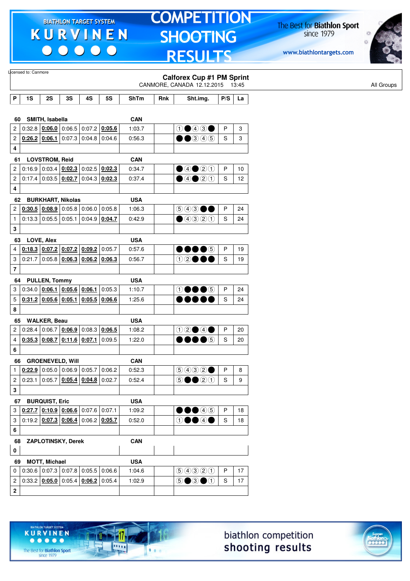$\begin{array}{c|c|c|c|c} \hline \bullet & \bullet & \bullet & \bullet & \bullet \end{array}$ 

# **TOMPETITION SHOOTING RESULTS**

The Best for **Biathlon Sport**<br>since 1979

www.biathlontargets.com



|                         | Licensed to: Canmore |                        |                                                                    |        |                                              |            |     |                                                                      |               |    |  |
|-------------------------|----------------------|------------------------|--------------------------------------------------------------------|--------|----------------------------------------------|------------|-----|----------------------------------------------------------------------|---------------|----|--|
|                         |                      |                        |                                                                    |        |                                              |            |     | <b>Calforex Cup #1 PM Sprint</b><br>CANMORE, CANADA 12.12.2015 13:45 |               |    |  |
| P                       | 1S                   | 2S                     | 3S                                                                 | 4S     | <b>5S</b>                                    | ShTm       | Rnk | Sht.img.                                                             | P/S           | La |  |
|                         |                      |                        |                                                                    |        |                                              |            |     |                                                                      |               |    |  |
| 60                      |                      | SMITH, Isabella        |                                                                    |        |                                              | <b>CAN</b> |     |                                                                      |               |    |  |
| $\mathbf{2}$            |                      |                        | $0.32.8$ $0.06.0$ 0.06.5 0.07.2 0.05.6                             |        |                                              | 1:03.7     |     | 00000                                                                | P             | 3  |  |
| $\overline{\mathbf{c}}$ |                      |                        | $0.26.2$ $0.06.1$ 0:07.3 0:04.8 0:04.6                             |        |                                              | 0:56.3     |     | $\bullet\bullet$ 345                                                 | S             | 3  |  |
| 4                       |                      |                        |                                                                    |        |                                              |            |     |                                                                      |               |    |  |
| 61                      |                      | <b>LOVSTROM, Reid</b>  |                                                                    |        |                                              | <b>CAN</b> |     |                                                                      |               |    |  |
| 2                       | 0:16.9               | 0:03.4                 | 0:02.3                                                             | 0:02.5 | 0:02.3                                       | 0:34.7     |     | ④④③③                                                                 | $\mathsf{P}$  | 10 |  |
| $\overline{\mathbf{c}}$ |                      |                        | 0:17.4   0:03.5   0:02.7                                           |        | $0:04.3$ 0:02.3                              | 0:37.4     |     | $\bigcirc$ 4 $\bigcirc$ 2 $\bigcirc$                                 | S             | 12 |  |
| 4                       |                      |                        |                                                                    |        |                                              |            |     |                                                                      |               |    |  |
| 62                      |                      |                        | <b>BURKHART, Nikolas</b>                                           |        |                                              | <b>USA</b> |     |                                                                      |               |    |  |
| $\overline{c}$          |                      |                        | $0.30.5$ $0.08.9$ 0.05.8 0.06.0 0.05.8                             |        |                                              | 1:06.3     |     | $\circledcirc \circledcirc \bullet \bullet$                          | $\mathsf{P}$  | 24 |  |
| $\mathbf{1}$            |                      | $0:13.3$ 0:05.5 0:05.1 |                                                                    |        | $0:04.9$ 0:04.7                              | 0:42.9     |     | ④④②⑦①                                                                | S             | 24 |  |
| 3                       |                      |                        |                                                                    |        |                                              |            |     |                                                                      |               |    |  |
| 63                      |                      | LOVE, Alex             |                                                                    |        |                                              | <b>USA</b> |     |                                                                      |               |    |  |
| 4                       |                      |                        | $0.18.3$ $0.07.2$ $0.07.2$ $0.09.2$                                |        | 0:05.7                                       | 0:57.6     |     | $\bullet\bullet\bullet\circ$                                         | P             | 19 |  |
| 3                       | 0:21.7               |                        | $0:05.8$ $0:06.3$ $0:06.2$ 0:06.3                                  |        |                                              | 0:56.7     |     | 12●●●                                                                | S             | 19 |  |
| $\bf 7$                 |                      |                        |                                                                    |        |                                              |            |     |                                                                      |               |    |  |
| 64                      |                      | <b>PULLEN, Tommy</b>   |                                                                    |        |                                              | <b>USA</b> |     |                                                                      |               |    |  |
| 3                       |                      |                        | $0.34.0$ $0.06.1$ $0.05.6$ 0.06.1                                  |        | 0:05.3                                       | 1:10.7     |     | $\theta$ 000                                                         | $\mathsf{P}$  | 24 |  |
| 5                       |                      |                        | $0:31.2$ 0:05.6 0:05.1                                             |        | $0:05.5$ 0:06.6                              | 1:25.6     |     |                                                                      | S             | 24 |  |
| 8                       |                      |                        |                                                                    |        |                                              |            |     |                                                                      |               |    |  |
| 65                      |                      | <b>WALKER, Beau</b>    |                                                                    |        |                                              | <b>USA</b> |     |                                                                      |               |    |  |
| $\overline{c}$          |                      |                        | $0.28.4$ 0.06.7 $0.06.9$ 0.08.3 0.06.5                             |        |                                              | 1:08.2     |     | $02 \bullet 4 \bullet$                                               | $\mathsf{P}$  | 20 |  |
| 4                       |                      |                        | $0.35.3$ 0.08.7 0.11.6 0.07.1 0.09.5                               |        |                                              | 1:22.0     |     | DOOG                                                                 | S             | 20 |  |
| 6                       |                      |                        |                                                                    |        |                                              |            |     |                                                                      |               |    |  |
| 66                      |                      |                        | <b>GROENEVELD, Will</b>                                            |        |                                              | <b>CAN</b> |     |                                                                      |               |    |  |
| $\mathbf{1}$            |                      |                        | <b>0:22.9</b> 0:05.0 0:06.9 0:05.7 0:06.2                          |        |                                              | 0:52.3     |     | 9992                                                                 | $\mathsf{P}$  | 8  |  |
| 2                       |                      |                        |                                                                    |        | $0.23.1   0.05.7   0.05.4   0.04.8   0.02.7$ | 0:52.4     |     | 50020                                                                | ${\mathsf S}$ | 9  |  |
| 3                       |                      |                        |                                                                    |        |                                              |            |     |                                                                      |               |    |  |
| 67                      |                      | <b>BURQUIST, Eric</b>  |                                                                    |        |                                              | <b>USA</b> |     |                                                                      |               |    |  |
| 3                       |                      |                        | $0.27.7$ $0.10.9$ $0.06.6$ 0.07.6 0.07.1                           |        |                                              | 1:09.2     |     | $\bullet\bullet\overline{\circ\circ}$                                | $\mathsf{P}$  | 18 |  |
| 3                       |                      |                        | $0:19.2$ $0:07.3$ $0:06.4$ 0:06.2 0:05.7                           |        |                                              | 0:52.0     |     | $\theta$ 0040                                                        | S             | 18 |  |
| 6                       |                      |                        |                                                                    |        |                                              |            |     |                                                                      |               |    |  |
| 68                      |                      |                        | ZAPLOTINSKY, Derek                                                 |        |                                              | <b>CAN</b> |     |                                                                      |               |    |  |
| 0                       |                      |                        |                                                                    |        |                                              |            |     |                                                                      |               |    |  |
| 69                      |                      | <b>MOTT, Michael</b>   |                                                                    |        |                                              | <b>USA</b> |     |                                                                      |               |    |  |
| 0                       |                      |                        | $0.30.6$ 0.07.3 0.07.8 0.05.5 0.06.6                               |        |                                              | 1:04.6     |     | 9990                                                                 | $\mathsf{P}$  | 17 |  |
| $\overline{\mathbf{c}}$ |                      |                        | 0:33.2 $\vert$ 0:05.0 $\vert$ 0:05.4 $\vert$ 0:06.2 $\vert$ 0:05.4 |        |                                              | 1:02.9     |     | $\circledcirc$ $\bullet$ $\circledcirc$                              | S             | 17 |  |
|                         |                      |                        |                                                                    |        |                                              |            |     |                                                                      |               |    |  |





The Best for **Biathlon Sport**<br>since 1979

TARGET SYSTEM

17

 $\overline{\cdots}$ 

 $1.1.1$ 

**KURVINEN** 

 $\begin{array}{ccccccccccccccccc} \bullet & \bullet & \bullet & \bullet & \bullet & \bullet & \bullet \end{array}$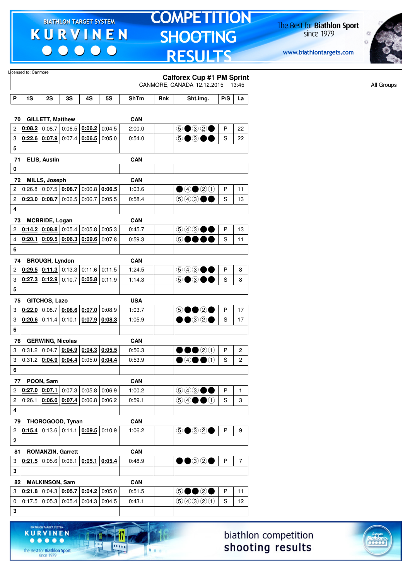$\begin{array}{c|c|c|c|c} \hline \bullet & \bullet & \bullet & \bullet & \bullet \end{array}$ 

# **TOMPETITION SHOOTING RESULTS**

The Best for **Biathlon Sport**<br>since 1979

www.biathlontargets.com



|                | Licensed to: Canmore |                                              |        |                 |           |             |     | <b>Calforex Cup #1 PM Sprint</b><br>CANMORE, CANADA 12.12.2015 13:45 |              |                |
|----------------|----------------------|----------------------------------------------|--------|-----------------|-----------|-------------|-----|----------------------------------------------------------------------|--------------|----------------|
| P              | 1S                   | 2S                                           | 3S     | 4S              | <b>5S</b> | <b>ShTm</b> | Rnk | Sht.img.                                                             | P/S          | La             |
|                | 70                   | <b>GILLETT, Matthew</b>                      |        |                 |           | <b>CAN</b>  |     |                                                                      |              |                |
| $\overline{c}$ |                      | $0.08.2$ 0:08.7 0:06.5 $0.06.2$ 0:04.5       |        |                 |           | 2:00.0      |     | 5●32●                                                                | P            | 22             |
| 3              |                      | 0.22.6   0.07.9                              |        | $0:07.4$ 0:06.5 | 0:05.0    | 0:54.0      |     | 5●3●●                                                                | S            | 22             |
| 5              |                      |                                              |        |                 |           |             |     |                                                                      |              |                |
| 0              | 71                   | ELIS, Austin                                 |        |                 |           | <b>CAN</b>  |     |                                                                      |              |                |
|                | 72                   | <b>MILLS, Joseph</b>                         |        |                 |           | <b>CAN</b>  |     |                                                                      |              |                |
| 2              |                      | 0:26.8 0:07.5 0:08.7                         |        | $0:06.8$ 0:06.5 |           | 1:03.6      |     | ④④③③                                                                 | P            | 11             |
| $\overline{c}$ |                      | $0.23.0$ 0.08.7                              | 0:06.5 | 0:06.7          | 0:05.5    | 0:58.4      |     | 600<br>$\rightarrow$                                                 | S            | 13             |
| 4              |                      |                                              |        |                 |           |             |     |                                                                      |              |                |
|                | 73                   | <b>MCBRIDE, Logan</b>                        |        |                 |           | <b>CAN</b>  |     |                                                                      |              |                |
| 2              |                      | 0.14.2   0.08.8   0.05.4                     |        | 0:05.8          | 0:05.3    | 0:45.7      |     | $\circledcirc$ $\bullet$ $\bullet$                                   | $\mathsf{P}$ | 13             |
| 4              |                      | $0:20.1$ 0:09.5 0:06.3                       |        | $0.09.6$ 0:07.8 |           | 0:59.3      |     | 6●●                                                                  | S            | 11             |
| 6              |                      |                                              |        |                 |           |             |     |                                                                      |              |                |
|                | 74                   | <b>BROUGH, Lyndon</b>                        |        |                 |           | <b>CAN</b>  |     |                                                                      |              |                |
| 2              |                      | $0.29.5$ $0.11.3$ 0.13.3 0.11.6 0.11.5       |        |                 |           | 1:24.5      |     | (5) 4 3<br>$\rightarrow$                                             | P            | 8              |
| 3              |                      | $0.27.3$ $0.12.9$ 0.10.7 0.05.8 0.11.9       |        |                 |           | 1:14.3      |     | டு ● ③<br>$\rightarrow$                                              | S            | 8              |
| 5              |                      |                                              |        |                 |           |             |     |                                                                      |              |                |
|                | 75                   | <b>GITCHOS, Lazo</b>                         |        |                 |           | <b>USA</b>  |     |                                                                      |              |                |
| 3              |                      | $0.22.0$ 0:08.7 0:08.6 0:07.0                |        |                 | 0:08.9    | 1:03.7      |     | 5●●2●                                                                | P            | 17             |
| 3              |                      | $0:20.6$ 0:11.4                              | 0:10.1 | $0:07.9$ 0:08.3 |           | 1:05.9      |     | $\bullet$ ③②                                                         | S            | 17             |
| 6              |                      |                                              |        |                 |           |             |     |                                                                      |              |                |
|                | 76                   | <b>GERWING, Nicolas</b>                      |        |                 |           | <b>CAN</b>  |     |                                                                      |              |                |
| 3              |                      | $0.31.2   0.04.7   0.04.9   0.04.3   0.05.5$ |        |                 |           | 0:56.3      |     | $\bullet\bullet\circ\circ$                                           | P            | $\overline{c}$ |
| 3              |                      | 0.31.2   0.04.9   0.04.4                     |        | 0:05.0          | 0:04.4    | 0:53.9      |     | $\bullet$ 4 $\bullet$ 0                                              | S            | $\overline{c}$ |
| 6              |                      |                                              |        |                 |           |             |     |                                                                      |              |                |
|                | 77                   | POON, Sam                                    |        |                 |           | <b>CAN</b>  |     |                                                                      |              |                |
| $\overline{2}$ |                      | $0.27.0$ $0.07.1$ 0.07.3 0.05.8 0.06.9       |        |                 |           | 1:00.2      |     | $\circledcirc \circledcirc \bullet \bullet$                          | $\mathsf{P}$ | $\mathbf{1}$   |
| $\overline{c}$ |                      | $0:26.1$   0:06.0   0:07.4   0:06.8   0:06.2 |        |                 |           | 0:59.1      |     | $\circledcircledast \bullet \bullet \circledast$                     | $\mathbf S$  | 3              |
| 4              |                      |                                              |        |                 |           |             |     |                                                                      |              |                |
| 79             |                      | THOROGOOD, Tynan                             |        |                 |           | CAN         |     |                                                                      |              |                |
| 2              |                      | $0:15.4$ 0:13.6 0:11.1 0:09.5 0:10.9         |        |                 |           | 1:06.2      |     | 5●32●                                                                | P            | 9              |
| $\mathbf 2$    |                      |                                              |        |                 |           |             |     |                                                                      |              |                |
|                | 81                   | <b>ROMANZIN, Garrett</b>                     |        |                 |           | <b>CAN</b>  |     |                                                                      |              |                |
| 3              |                      | $0.21.5$ 0.05.6 0.06.1 0.05.1 0.05.4         |        |                 |           | 0:48.9      |     | $\bullet\textcolor{red}{\bullet\circledcirc}$                        | P            | $\overline{7}$ |
| 3              |                      |                                              |        |                 |           |             |     |                                                                      |              |                |
|                |                      |                                              |        |                 |           |             |     |                                                                      |              |                |
|                | 82                   | <b>MALKINSON, Sam</b>                        |        |                 |           | <b>CAN</b>  |     |                                                                      | $\mathsf{P}$ |                |
| 3              |                      | $0.21.8$ 0:04.3 $0.05.7$ 0:04.2 0:05.0       |        |                 |           | 0:51.5      |     | 5●●2●                                                                |              | 11             |
| 0              |                      | $0.17.5$ 0.05.3 0.05.4 0.04.3 0.04.5         |        |                 |           | 0:43.1      |     | 9990                                                                 | $\mathbf S$  | 12             |
| 3              |                      |                                              |        |                 |           |             |     |                                                                      |              |                |

biathlon competition shooting results



The Best for **Biathlon Sport**<br>since 1979

**KURVINEN** 

 $\begin{array}{ccccccccccccccccc} \bullet & \bullet & \bullet & \bullet & \bullet & \bullet & \bullet \end{array}$ 

17

.....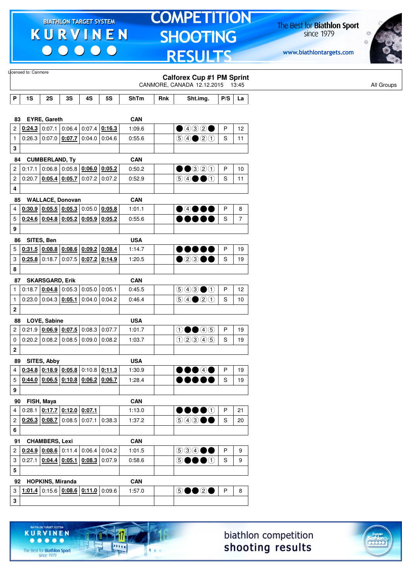$\begin{array}{c|c|c|c|c} \hline \bullet & \bullet & \bullet & \bullet & \bullet \end{array}$ 

# **TOMPETITION SHOOTING RESULTS**

The Best for **Biathlon Sport**<br>since 1979

www.biathlontargets.com



|                         | Licensed to: Canmore |                         |                                                     |                 |                                                              |             |     | <b>Calforex Cup #1 PM Sprint</b><br>CANMORE, CANADA 12.12.2015 13:45                   |               |                |
|-------------------------|----------------------|-------------------------|-----------------------------------------------------|-----------------|--------------------------------------------------------------|-------------|-----|----------------------------------------------------------------------------------------|---------------|----------------|
| P                       | 1S                   | 2S                      | 3S                                                  | 4S              | <b>5S</b>                                                    | <b>ShTm</b> | Rnk | Sht.img.                                                                               | P/S           | La             |
|                         |                      | <b>EYRE, Gareth</b>     |                                                     |                 |                                                              | <b>CAN</b>  |     |                                                                                        |               |                |
| 83<br>2                 |                      |                         | $0.24.3$ 0.07.1 0.06.4 0.07.4                       |                 | 0:16.3                                                       | 1:09.6      |     | $\bullet$ 432 $\bullet$                                                                | P             | 12             |
| $\mathbf{1}$            |                      |                         | 0.26.3   0.07.0   0.07.7   0.04.0                   |                 | 0:04.6                                                       | 0:55.6      |     | $\bigcirc \bigcirc \bigcirc \bigcirc \bigcirc \bigcirc \bigcirc \bigcirc$              | $\mathbf S$   | 11             |
|                         |                      |                         |                                                     |                 |                                                              |             |     |                                                                                        |               |                |
| 3<br>84                 |                      | <b>CUMBERLAND, Ty</b>   |                                                     |                 |                                                              | <b>CAN</b>  |     |                                                                                        |               |                |
| 2                       | 0:17.1               | 0:06.8                  |                                                     | $0:05.8$ 0:06.0 | 0:05.2                                                       | 0:50.2      |     | $\bullet\bullet$ 320                                                                   | P             | 10             |
| $\overline{\mathbf{c}}$ | 0:20.7               |                         | $0.05.4$ 0.05.7 0.07.2                              |                 | 0:07.2                                                       | 0:52.9      |     | $\circledcircledast \bullet \bullet \bullet \circledcirc$                              | S             | 11             |
| 4                       |                      |                         |                                                     |                 |                                                              |             |     |                                                                                        |               |                |
|                         |                      |                         |                                                     |                 |                                                              |             |     |                                                                                        |               |                |
| 85                      |                      |                         | <b>WALLACE, Donovan</b>                             |                 |                                                              | <b>CAN</b>  |     |                                                                                        |               |                |
| 4                       |                      |                         | $0.30.9$ $0.05.5$ $0.05.3$ 0.05.0                   |                 | 0:05.8                                                       | 1:01.1      |     | $\bullet$ 4000                                                                         | P             | 8              |
| 5                       |                      |                         | $0.24.6$ $0.04.8$ $0.05.2$ $0.05.9$                 |                 | 0:05.2                                                       | 0:55.6      |     |                                                                                        | S             | $\overline{7}$ |
| 9                       |                      |                         |                                                     |                 |                                                              |             |     |                                                                                        |               |                |
| 86                      |                      | SITES, Ben              |                                                     |                 |                                                              | <b>USA</b>  |     |                                                                                        |               |                |
| 5                       | 0.31.5   0.08.8      |                         |                                                     | $0:08.6$ 0:09.2 | 0:08.4                                                       | 1:14.7      |     | .                                                                                      | P             | 19             |
| 3                       | $0:25.8$ 0:18.7      |                         |                                                     |                 | $0:07.5$ 0:07.2 0:14.9                                       | 1:20.5      |     | $\bullet$ 2300                                                                         | S             | 19             |
| 8                       |                      |                         |                                                     |                 |                                                              |             |     |                                                                                        |               |                |
| 87                      |                      | <b>SKARSGARD, Erik</b>  |                                                     |                 |                                                              | <b>CAN</b>  |     |                                                                                        |               |                |
| $\mathbf{1}$            |                      | $0:18.7$ 0:04.8         |                                                     | $0:05.3$ 0:05.0 | 0:05.1                                                       | 0:45.5      |     | $\bigcirc \bigcirc \bigcirc \bigcirc \bigcirc \bigcirc$                                | P             | 12             |
| $\mathbf{1}$            |                      |                         | $0.23.0$ 0.04.3 0.05.1 0.04.0                       |                 | 0.04.2                                                       | 0:46.4      |     | $\bigcirc \bigcirc \bigcirc \bigcirc \bigcirc \bigcirc \bigcirc$                       | S             | 10             |
| $\boldsymbol{2}$        |                      |                         |                                                     |                 |                                                              |             |     |                                                                                        |               |                |
| 88                      |                      | LOVE, Sabine            |                                                     |                 |                                                              | <b>USA</b>  |     |                                                                                        |               |                |
| 2                       |                      |                         | $0.21.9$ $0.06.9$ $0.07.5$ 0.08.3                   |                 | 0:07.7                                                       | 1:01.7      |     | $\bigcirc \bullet \bullet \bigcirc \circ$                                              | P             | 19             |
| 0                       |                      | $0:20.2$ 0:08.2         | 0:08.5                                              | 0:09.0          | 0:08.2                                                       | 1:03.7      |     | 02345                                                                                  | $\mathbf S$   | 19             |
| $\bf{2}$                |                      |                         |                                                     |                 |                                                              |             |     |                                                                                        |               |                |
| 89                      |                      | SITES, Abby             |                                                     |                 |                                                              | <b>USA</b>  |     |                                                                                        |               |                |
| 4                       |                      |                         |                                                     |                 | $0.34.8$ $0.18.9$ $0.05.8$ 0.10.8 0.11.3                     | 1:30.9      |     | 00040                                                                                  | P             | 19             |
| 5 <sub>5</sub>          |                      |                         |                                                     |                 | $\left  \frac{0.144.0}{0.06.5} \right $ 0.10.8 0.06.2 0.06.7 | 1:28.4      |     |                                                                                        | ${\mathbb S}$ | 19             |
| 9                       |                      |                         |                                                     |                 |                                                              |             |     |                                                                                        |               |                |
|                         | 90 FISH, Maya        |                         |                                                     |                 |                                                              | CAN         |     |                                                                                        |               |                |
| 4                       |                      |                         | 0:28.1 $\vert$ 0:17.7 $\vert$ 0:12.0 $\vert$ 0:07.1 |                 |                                                              | 1:13.0      |     | $\bullet\bullet\bullet\circ$                                                           | P             | 21             |
| $\overline{2}$          |                      |                         | 0.26.3   0.08.7   0.08.5   0.07.1                   |                 | 0:38.3                                                       | 1:37.2      |     | $\textcircled{\scriptsize{9}}\textcircled{\scriptsize{9}}\textcircled{\scriptsize{9}}$ | $\mathbf S$   | 20             |
| 6                       |                      |                         |                                                     |                 |                                                              |             |     |                                                                                        |               |                |
|                         |                      |                         |                                                     |                 |                                                              |             |     |                                                                                        |               |                |
| 91                      |                      | <b>CHAMBERS, Lexi</b>   |                                                     |                 |                                                              | <b>CAN</b>  |     |                                                                                        |               |                |
| $2 \mid$                |                      |                         | $0.24.9$ 0.08.6 0.11.4 0.06.4                       |                 | 0:04.2                                                       | 1:01.5      |     | 534●●                                                                                  | P             | 9              |
| 3                       |                      |                         |                                                     |                 | $0.27.1$ $0.04.4$ $0.05.1$ $0.08.3$ 0.07.9                   | 0:58.6      |     | 5●●● <b>①</b>                                                                          | S             | 9              |
| 5                       |                      |                         |                                                     |                 |                                                              |             |     |                                                                                        |               |                |
| 92                      |                      | <b>HOPKINS, Miranda</b> |                                                     |                 |                                                              | <b>CAN</b>  |     |                                                                                        |               |                |
| 3                       |                      |                         |                                                     |                 | 1:01.4 0:15.6 0:08.6 0:11.0 0:09.6                           | 1:57.0      |     | 50020                                                                                  | $\sf P$       | 8              |
| ${\bf 3}$               |                      |                         |                                                     |                 |                                                              |             |     |                                                                                        |               |                |



The Best for **Biathlon Sport**<br>since 1979

TARGET SYSTEM

17

11111

 $1.1.1$ 

**KURVINEN** 

 $• • • • •$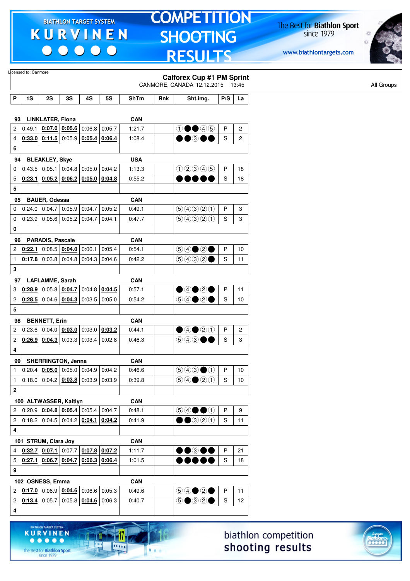$\begin{array}{c|c|c|c|c} \hline \bullet & \bullet & \bullet & \bullet & \bullet \end{array}$ 

# **TOMPETITION SHOOTING RESULTS**

The Best for **Biathlon Sport**<br>since 1979

www.biathlontargets.com



|                         | Licensed to: Canmore   |                         |                                                      |                 |                 |            |     |                                                                     |              |                |
|-------------------------|------------------------|-------------------------|------------------------------------------------------|-----------------|-----------------|------------|-----|---------------------------------------------------------------------|--------------|----------------|
|                         |                        |                         |                                                      |                 |                 |            |     | <b>Calforex Cup #1 PM Sprint</b><br>CANMORE, CANADA 12.12.2015      |              | 13:45          |
| P                       | 1S                     | 2S                      | 3S                                                   | 4S              | <b>5S</b>       | ShTm       | Rnk | Sht.img.                                                            | P/S          | La             |
|                         |                        |                         |                                                      |                 |                 |            |     |                                                                     |              |                |
| 93                      |                        | <b>LINKLATER, Fiona</b> |                                                      |                 |                 | <b>CAN</b> |     |                                                                     |              |                |
| 2                       | 0:49.1                 |                         | $0:07.0$ 0:05.6                                      | 0:06.8          | 0:05.7          | 1:21.7     |     | $\textcircled{\small{1}}\bullet\textcircled{\small{4}}\circledcirc$ | P            | $\overline{2}$ |
| 4                       |                        | $0.33.0$ 0.11.5         |                                                      | $0:05.9$ 0:05.4 | 0:06.4          | 1:08.4     |     | $\bullet$ $\bullet$ $\circ$                                         | S            | $\overline{c}$ |
| 6                       |                        |                         |                                                      |                 |                 |            |     |                                                                     |              |                |
| 94                      |                        | <b>BLEAKLEY, Skye</b>   |                                                      |                 |                 | <b>USA</b> |     |                                                                     |              |                |
| 0                       |                        |                         | $0.43.5$ 0.05.1 0.04.8 0.05.0 0.04.2                 |                 |                 | 1:13.3     |     | 02345                                                               | P            | 18             |
| 5                       | 0:23.1                 |                         | $0.05.2$ 0.06.2 0.05.0 0.04.8                        |                 |                 | 0:55.2     |     | DO.                                                                 | S            | 18             |
| 5                       |                        |                         |                                                      |                 |                 |            |     |                                                                     |              |                |
| 95                      |                        | <b>BAUER, Odessa</b>    |                                                      |                 |                 | <b>CAN</b> |     |                                                                     |              |                |
| 0                       |                        |                         | $0.24.0$ 0.04.7 0.05.9                               | 0:04.7          | 0:05.2          | 0:49.1     |     | 99900                                                               | P            | 3              |
| 0                       |                        |                         | $0.23.9$ 0.05.6 0.05.2 0.04.7                        |                 | 0:04.1          | 0:47.7     |     | 9990                                                                | S            | 3              |
| 0                       |                        |                         |                                                      |                 |                 |            |     |                                                                     |              |                |
| 96                      |                        | <b>PARADIS, Pascale</b> |                                                      |                 |                 | <b>CAN</b> |     |                                                                     |              |                |
| 2                       | 0:22.1                 |                         | $0:08.5$ 0:04.0                                      | 0:06.1          | 0:05.4          | 0:54.1     |     |                                                                     | P            | 10             |
| $\mathbf{1}$            |                        |                         | $0.17.8$ 0.03.8 0.04.8 0.04.3 0.04.6                 |                 |                 | 0:42.2     |     | $\bigcirc \bigcirc \bigcirc \bigcirc \bigcirc \bigcirc \bullet$     | S            | 11             |
| 3                       |                        |                         |                                                      |                 |                 |            |     |                                                                     |              |                |
| 97                      |                        | <b>LAFLAMME, Sarah</b>  |                                                      |                 |                 | <b>CAN</b> |     |                                                                     |              |                |
| 3                       | 0:28.9                 |                         | $0:05.8$ 0:04.7                                      |                 | $0:04.8$ 0:04.5 | 0:57.1     |     | $\bullet$ 4 $\bullet$ 2 $\bullet$                                   | $\mathsf{P}$ | 11             |
| $\overline{c}$          |                        |                         | $0.28.5$ 0:04.6 $0.04.3$                             |                 | $0:03.5$ 0:05.0 | 0:54.2     |     | $\bigcirc \bigcirc \bigcirc \bigcirc \bigcirc \bigcirc$             | S            | 10             |
| 5                       |                        |                         |                                                      |                 |                 |            |     |                                                                     |              |                |
| 98                      |                        | <b>BENNETT, Erin</b>    |                                                      |                 |                 | <b>CAN</b> |     |                                                                     |              |                |
| $\mathbf{2}$            |                        |                         | $0:23.6$ 0:04.0 0:03.0                               |                 | $0:03.0$ 0:03.2 | 0:44.1     |     | $\bullet$ 4 $\bullet$ 2 $\textcircled{\scriptsize{1}}$              | P            | 2              |
| 2                       |                        | $0.26.9$ 0.04.3         | 0:03.3                                               | 0:03.4          | 0:02.8          | 0:46.3     |     | (5) (4) (3)                                                         | S            | 3              |
| 4                       |                        |                         |                                                      |                 |                 |            |     |                                                                     |              |                |
| 99                      |                        |                         | <b>SHERRINGTON, Jenna</b>                            |                 |                 | <b>CAN</b> |     |                                                                     |              |                |
| $\mathbf{1}$            |                        |                         | $0:20.4$   $0:05.0$   $0:05.0$   $0:04.9$   $0:04.2$ |                 |                 | 0:46.6     |     | $\bigcirc$ 4300                                                     | P            | 10             |
| $\mathbf{1}$            |                        |                         | $0:18.0$ 0:04.2 $0:03.8$ 0:03.9 0:03.9               |                 |                 | 0:39.8     |     | $\bigcirc \bigcirc \bigcirc \bigcirc \bigcirc \bigcirc \bigcirc$    | S            | 10             |
| $\overline{\mathbf{2}}$ |                        |                         |                                                      |                 |                 |            |     |                                                                     |              |                |
|                         | 100 ALTWASSER, Kaitlyn |                         |                                                      |                 |                 | <b>CAN</b> |     |                                                                     |              |                |
| $\overline{c}$          |                        |                         | $0:20.9$ 0:04.8 0:05.4 0:05.4 0:04.7                 |                 |                 | 0:48.1     |     | $\circledcircledast \bullet \bullet \bullet$                        | P            | 9              |
| $\overline{c}$          |                        |                         | $0.18.2$ 0.04.5 0.04.2 0.04.1 0.04.2                 |                 |                 | 0:41.9     |     | $\bullet$ $\bullet$ 320                                             | S            | 11             |
| 4                       |                        |                         |                                                      |                 |                 |            |     |                                                                     |              |                |
|                         | 101 STRUM, Clara Joy   |                         |                                                      |                 |                 | <b>CAN</b> |     |                                                                     |              |                |
| 4                       |                        |                         | $0.32.7$ $0.07.1$ 0:07.7 0:07.8 0:07.2               |                 |                 | 1:11.7     |     | $\bullet\bullet$ 300                                                | P            | 21             |
| 5                       |                        |                         | $0.27.1$ $0.06.7$ $0.04.7$ $0.06.3$ $0.06.4$         |                 |                 | 1:01.5     |     |                                                                     | S            | 18             |
| 9                       |                        |                         |                                                      |                 |                 |            |     |                                                                     |              |                |
|                         | 102 OSNESS, Emma       |                         |                                                      |                 |                 | <b>CAN</b> |     |                                                                     |              |                |
| 2                       |                        |                         | $0.17.0$ 0:06.9 $0.04.6$ 0:06.6 0:05.3               |                 |                 | 0.49.6     |     |                                                                     | P            | 11             |
| $\overline{\mathbf{c}}$ |                        |                         | $0.13.4$ 0:05.7 0:05.8 $0.04.6$ 0:06.3               |                 |                 | 0:40.7     |     | $\circledcirc \bullet \circledcirc \circ \bullet$                   | S            | 12             |
| 4                       |                        |                         |                                                      |                 |                 |            |     |                                                                     |              |                |
|                         |                        |                         |                                                      |                 |                 |            |     |                                                                     |              |                |



17

.....

 $1.1.1$ 

**KURVINEN** 

 $\begin{array}{ccccccccccccccccc} \bullet & \bullet & \bullet & \bullet & \bullet & \bullet & \bullet \end{array}$